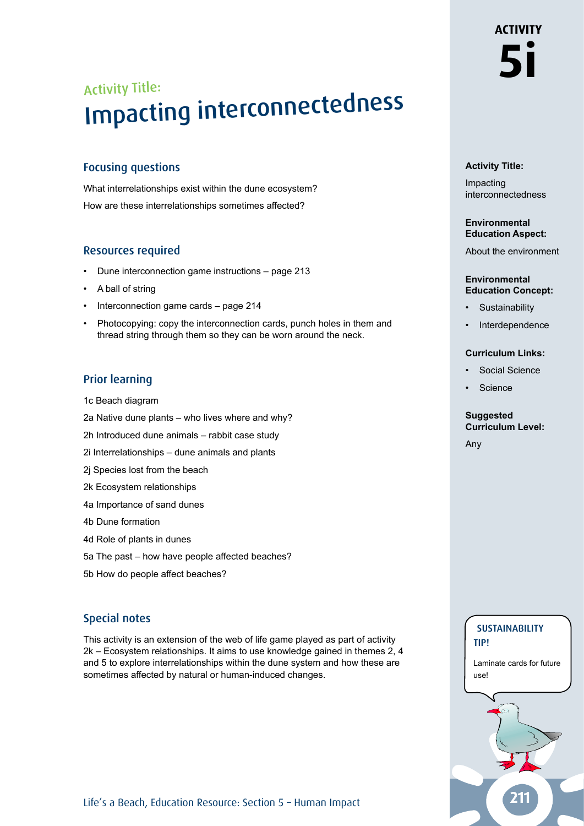# **ACTIVITY 5i**

# **Activity Title:**

Impacting interconnectedness

#### **Environmental Education Aspect:**

About the environment

#### **Environmental Education Concept:**

- **Sustainability**
- **Interdependence**

#### **Curriculum Links:**

- Social Science
- **Science**

#### **Suggested Curriculum Level:**

**SUSTAINABILITY** 

Laminate cards for future

tip!

use!

Any

# Activity Title: Impacting interconnectedness

### Focusing questions

What interrelationships exist within the dune ecosystem? How are these interrelationships sometimes affected?

# Resources required

- Dune interconnection game instructions page 213
- A ball of string
- Interconnection game cards page 214
- Photocopying: copy the interconnection cards, punch holes in them and thread string through them so they can be worn around the neck.

# Prior learning

1c Beach diagram

- 2a Native dune plants who lives where and why?
- 2h Introduced dune animals rabbit case study
- 2i Interrelationships dune animals and plants
- 2j Species lost from the beach
- 2k Ecosystem relationships
- 4a Importance of sand dunes
- 4b Dune formation
- 4d Role of plants in dunes
- 5a The past how have people affected beaches?
- 5b How do people affect beaches?

# Special notes

This activity is an extension of the web of life game played as part of activity 2k – Ecosystem relationships. It aims to use knowledge gained in themes 2, 4 and 5 to explore interrelationships within the dune system and how these are sometimes affected by natural or human-induced changes.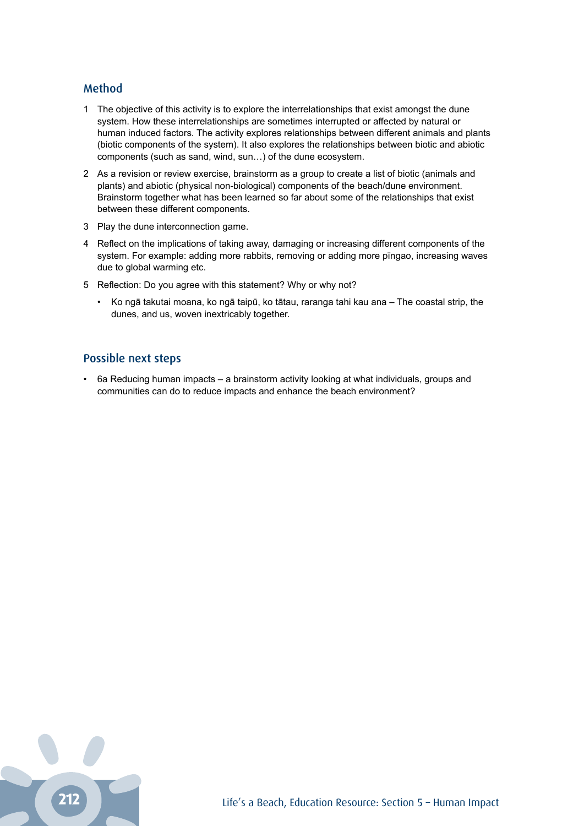#### Method

- 1 The objective of this activity is to explore the interrelationships that exist amongst the dune system. How these interrelationships are sometimes interrupted or affected by natural or human induced factors. The activity explores relationships between different animals and plants (biotic components of the system). It also explores the relationships between biotic and abiotic components (such as sand, wind, sun…) of the dune ecosystem.
- 2 As a revision or review exercise, brainstorm as a group to create a list of biotic (animals and plants) and abiotic (physical non-biological) components of the beach/dune environment. Brainstorm together what has been learned so far about some of the relationships that exist between these different components.
- 3 Play the dune interconnection game.
- 4 Reflect on the implications of taking away, damaging or increasing different components of the system. For example: adding more rabbits, removing or adding more pīngao, increasing waves due to global warming etc.
- 5 Reflection: Do you agree with this statement? Why or why not?
	- Ko ngā takutai moana, ko ngā taipū, ko tātau, raranga tahi kau ana The coastal strip, the dunes, and us, woven inextricably together.

#### Possible next steps

• 6a Reducing human impacts – a brainstorm activity looking at what individuals, groups and communities can do to reduce impacts and enhance the beach environment?

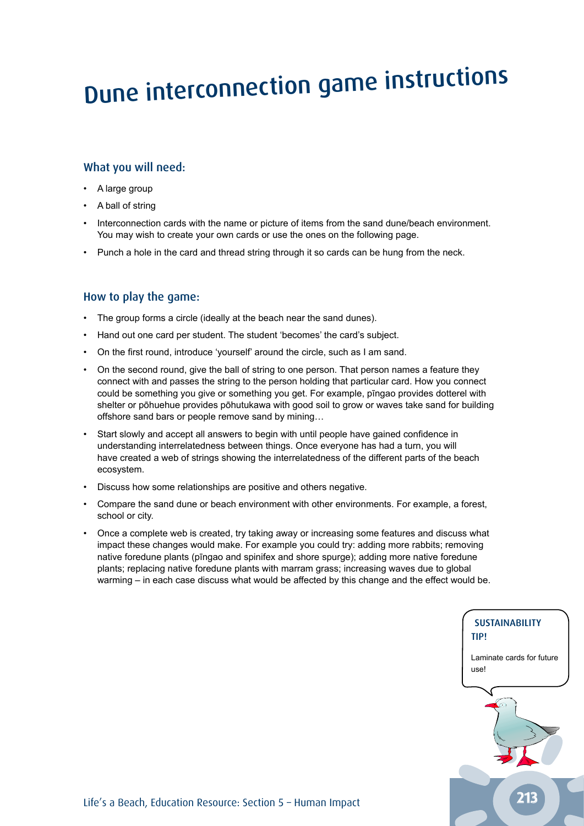# Dune interconnection game instructions

### What you will need:

- A large group
- A ball of string
- Interconnection cards with the name or picture of items from the sand dune/beach environment. You may wish to create your own cards or use the ones on the following page.
- Punch a hole in the card and thread string through it so cards can be hung from the neck.

### How to play the game:

- The group forms a circle (ideally at the beach near the sand dunes).
- Hand out one card per student. The student 'becomes' the card's subject.
- On the first round, introduce 'yourself' around the circle, such as I am sand.
- On the second round, give the ball of string to one person. That person names a feature they connect with and passes the string to the person holding that particular card. How you connect could be something you give or something you get. For example, pīngao provides dotterel with shelter or pōhuehue provides pōhutukawa with good soil to grow or waves take sand for building offshore sand bars or people remove sand by mining…
- Start slowly and accept all answers to begin with until people have gained confidence in understanding interrelatedness between things. Once everyone has had a turn, you will have created a web of strings showing the interrelatedness of the different parts of the beach ecosystem.
- Discuss how some relationships are positive and others negative.
- Compare the sand dune or beach environment with other environments. For example, a forest, school or city.
- Once a complete web is created, try taking away or increasing some features and discuss what impact these changes would make. For example you could try: adding more rabbits; removing native foredune plants (pīngao and spinifex and shore spurge); adding more native foredune plants; replacing native foredune plants with marram grass; increasing waves due to global warming – in each case discuss what would be affected by this change and the effect would be.

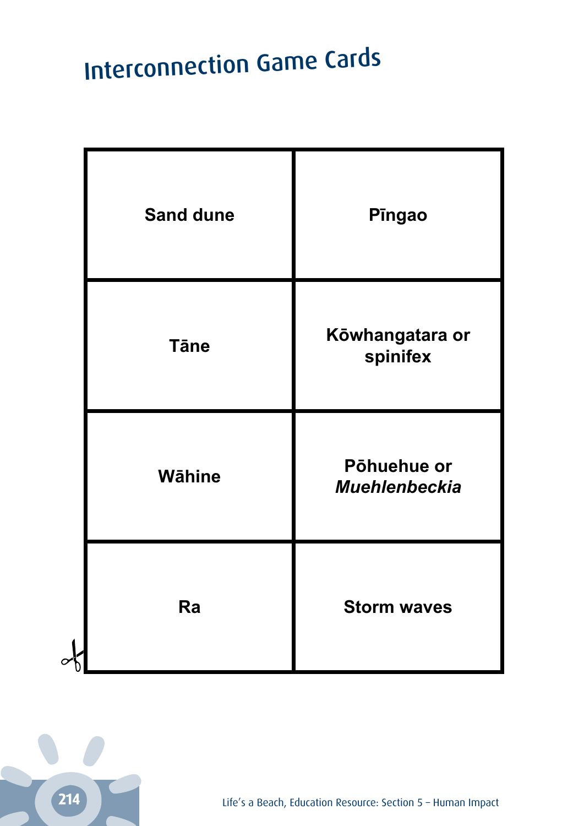# **Interconnection Game Cards**

| <b>Sand dune</b> | Pingao                              |
|------------------|-------------------------------------|
| <b>T</b> āne     | Kōwhangatara or<br>spinifex         |
| <b>Wāhine</b>    | Pōhuehue or<br><b>Muehlenbeckia</b> |
| Ra               | <b>Storm waves</b>                  |



 $\sim$ 

Life's a Beach, Education Resource: Section 5 - Human Impact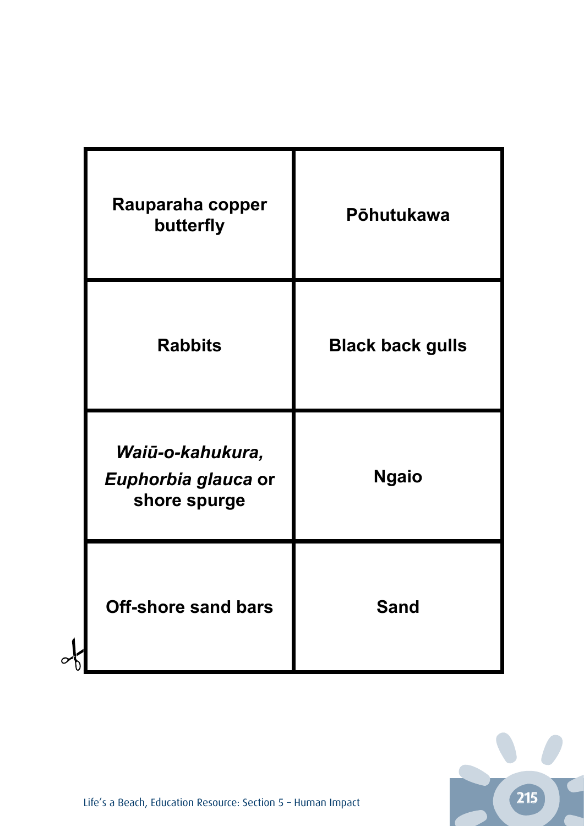| Rauparaha copper<br>butterfly                           | Pōhutukawa              |
|---------------------------------------------------------|-------------------------|
| <b>Rabbits</b>                                          | <b>Black back gulls</b> |
| Waiū-o-kahukura,<br>Euphorbia glauca or<br>shore spurge | <b>Ngaio</b>            |
| <b>Off-shore sand bars</b>                              | <b>Sand</b>             |

 $\alpha$